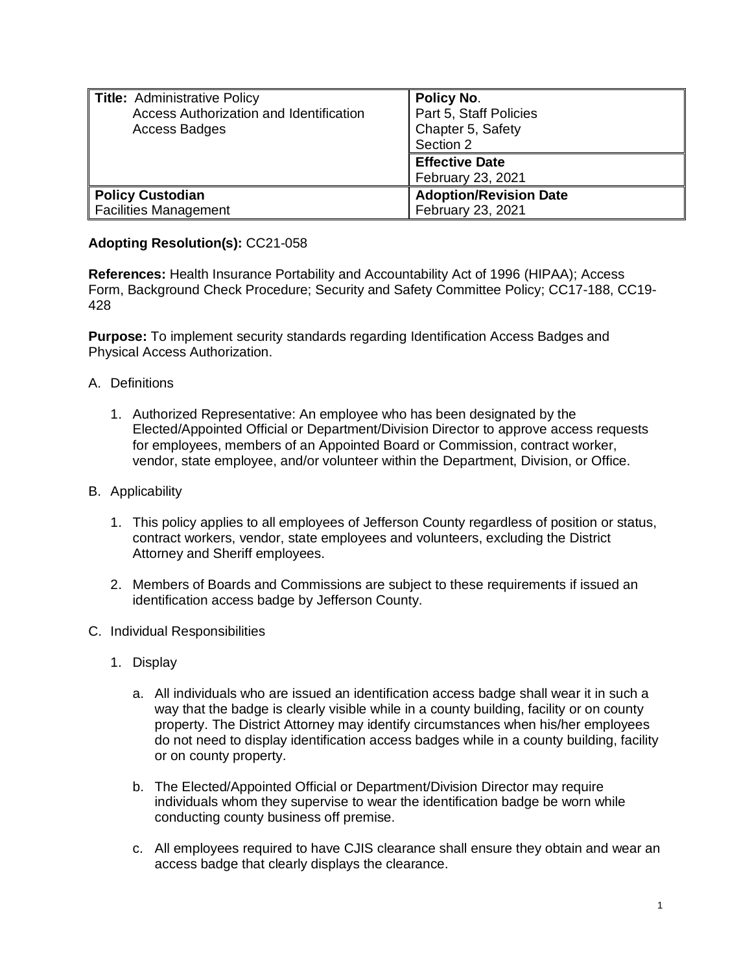| Title: Administrative Policy<br>Access Authorization and Identification<br>Access Badges | <b>Policy No.</b><br>Part 5, Staff Policies<br>Chapter 5, Safety<br>Section 2 |
|------------------------------------------------------------------------------------------|-------------------------------------------------------------------------------|
|                                                                                          | <b>Effective Date</b><br>February 23, 2021                                    |
| Policy Custodian<br><b>Facilities Management</b>                                         | <b>Adoption/Revision Date</b><br>February 23, 2021                            |

## **Adopting Resolution(s):** CC21-058

**References:** Health Insurance Portability and Accountability Act of 1996 (HIPAA); Access Form, Background Check Procedure; Security and Safety Committee Policy; CC17-188, CC19- 428

**Purpose:** To implement security standards regarding Identification Access Badges and Physical Access Authorization.

- A. Definitions
	- 1. Authorized Representative: An employee who has been designated by the Elected/Appointed Official or Department/Division Director to approve access requests for employees, members of an Appointed Board or Commission, contract worker, vendor, state employee, and/or volunteer within the Department, Division, or Office.
- B. Applicability
	- 1. This policy applies to all employees of Jefferson County regardless of position or status, contract workers, vendor, state employees and volunteers, excluding the District Attorney and Sheriff employees.
	- 2. Members of Boards and Commissions are subject to these requirements if issued an identification access badge by Jefferson County.
- C. Individual Responsibilities
	- 1. Display
		- a. All individuals who are issued an identification access badge shall wear it in such a way that the badge is clearly visible while in a county building, facility or on county property. The District Attorney may identify circumstances when his/her employees do not need to display identification access badges while in a county building, facility or on county property.
		- b. The Elected/Appointed Official or Department/Division Director may require individuals whom they supervise to wear the identification badge be worn while conducting county business off premise.
		- c. All employees required to have CJIS clearance shall ensure they obtain and wear an access badge that clearly displays the clearance.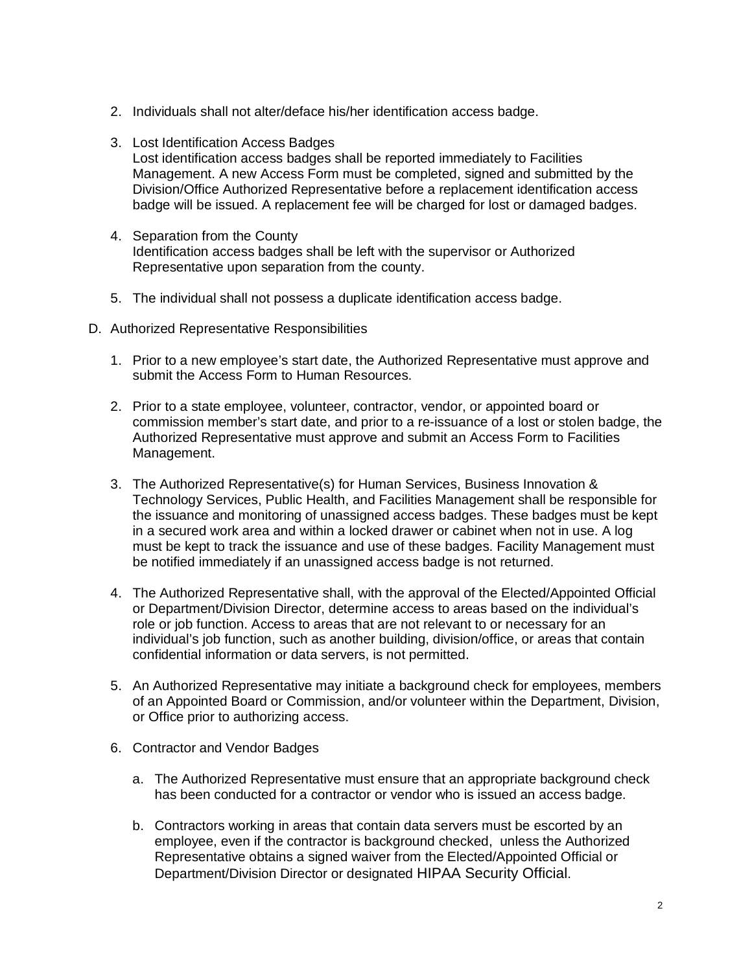- 2. Individuals shall not alter/deface his/her identification access badge.
- 3. Lost Identification Access Badges Lost identification access badges shall be reported immediately to Facilities Management. A new Access Form must be completed, signed and submitted by the Division/Office Authorized Representative before a replacement identification access badge will be issued. A replacement fee will be charged for lost or damaged badges.
- 4. Separation from the County Identification access badges shall be left with the supervisor or Authorized Representative upon separation from the county.
- 5. The individual shall not possess a duplicate identification access badge.
- D. Authorized Representative Responsibilities
	- 1. Prior to a new employee's start date, the Authorized Representative must approve and submit the Access Form to Human Resources.
	- 2. Prior to a state employee, volunteer, contractor, vendor, or appointed board or commission member's start date, and prior to a re-issuance of a lost or stolen badge, the Authorized Representative must approve and submit an Access Form to Facilities Management.
	- 3. The Authorized Representative(s) for Human Services, Business Innovation & Technology Services, Public Health, and Facilities Management shall be responsible for the issuance and monitoring of unassigned access badges. These badges must be kept in a secured work area and within a locked drawer or cabinet when not in use. A log must be kept to track the issuance and use of these badges. Facility Management must be notified immediately if an unassigned access badge is not returned.
	- 4. The Authorized Representative shall, with the approval of the Elected/Appointed Official or Department/Division Director, determine access to areas based on the individual's role or job function. Access to areas that are not relevant to or necessary for an individual's job function, such as another building, division/office, or areas that contain confidential information or data servers, is not permitted.
	- 5. An Authorized Representative may initiate a background check for employees, members of an Appointed Board or Commission, and/or volunteer within the Department, Division, or Office prior to authorizing access.
	- 6. Contractor and Vendor Badges
		- a. The Authorized Representative must ensure that an appropriate background check has been conducted for a contractor or vendor who is issued an access badge.
		- b. Contractors working in areas that contain data servers must be escorted by an employee, even if the contractor is background checked, unless the Authorized Representative obtains a signed waiver from the Elected/Appointed Official or Department/Division Director or designated HIPAA Security Official.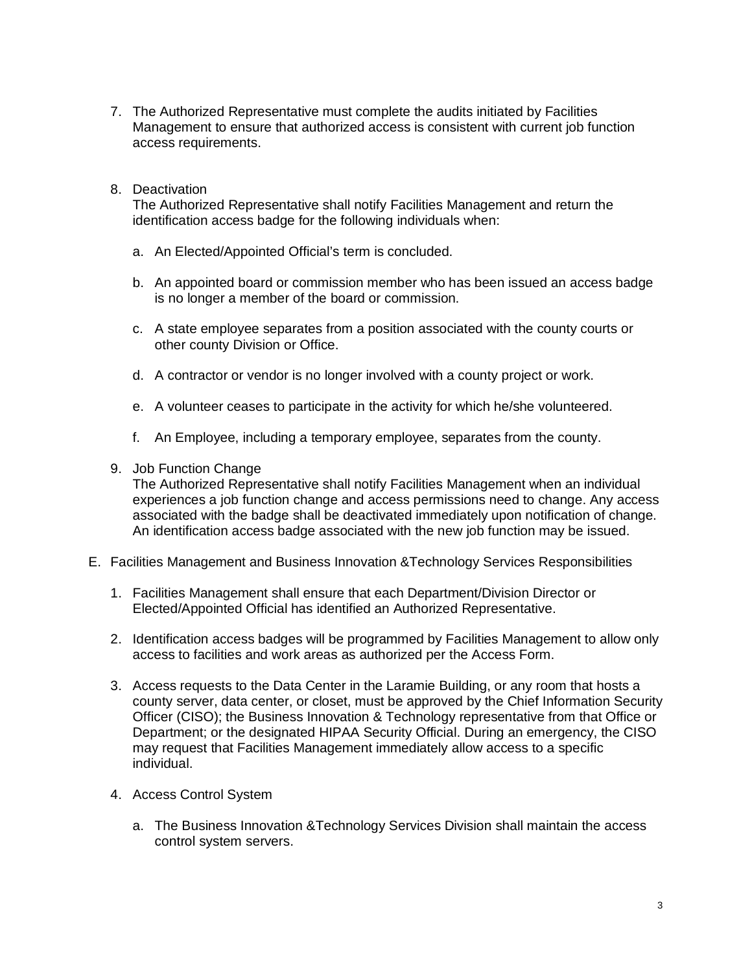- 7. The Authorized Representative must complete the audits initiated by Facilities Management to ensure that authorized access is consistent with current job function access requirements.
- 8. Deactivation

The Authorized Representative shall notify Facilities Management and return the identification access badge for the following individuals when:

- a. An Elected/Appointed Official's term is concluded.
- b. An appointed board or commission member who has been issued an access badge is no longer a member of the board or commission.
- c. A state employee separates from a position associated with the county courts or other county Division or Office.
- d. A contractor or vendor is no longer involved with a county project or work.
- e. A volunteer ceases to participate in the activity for which he/she volunteered.
- f. An Employee, including a temporary employee, separates from the county.
- 9. Job Function Change

The Authorized Representative shall notify Facilities Management when an individual experiences a job function change and access permissions need to change. Any access associated with the badge shall be deactivated immediately upon notification of change. An identification access badge associated with the new job function may be issued.

- E. Facilities Management and Business Innovation &Technology Services Responsibilities
	- 1. Facilities Management shall ensure that each Department/Division Director or Elected/Appointed Official has identified an Authorized Representative.
	- 2. Identification access badges will be programmed by Facilities Management to allow only access to facilities and work areas as authorized per the Access Form.
	- 3. Access requests to the Data Center in the Laramie Building, or any room that hosts a county server, data center, or closet, must be approved by the Chief Information Security Officer (CISO); the Business Innovation & Technology representative from that Office or Department; or the designated HIPAA Security Official. During an emergency, the CISO may request that Facilities Management immediately allow access to a specific individual.
	- 4. Access Control System
		- a. The Business Innovation &Technology Services Division shall maintain the access control system servers.